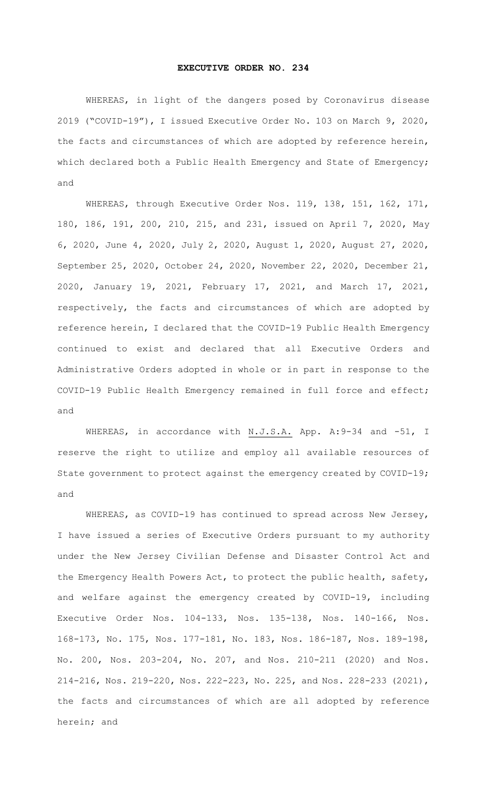## **EXECUTIVE ORDER NO. 234**

WHEREAS, in light of the dangers posed by Coronavirus disease 2019 ("COVID-19"), I issued Executive Order No. 103 on March 9, 2020, the facts and circumstances of which are adopted by reference herein, which declared both a Public Health Emergency and State of Emergency; and

WHEREAS, through Executive Order Nos. 119, 138, 151, 162, 171, 180, 186, 191, 200, 210, 215, and 231, issued on April 7, 2020, May 6, 2020, June 4, 2020, July 2, 2020, August 1, 2020, August 27, 2020, September 25, 2020, October 24, 2020, November 22, 2020, December 21, 2020, January 19, 2021, February 17, 2021, and March 17, 2021, respectively, the facts and circumstances of which are adopted by reference herein, I declared that the COVID-19 Public Health Emergency continued to exist and declared that all Executive Orders and Administrative Orders adopted in whole or in part in response to the COVID-19 Public Health Emergency remained in full force and effect; and

WHEREAS, in accordance with N.J.S.A. App. A:9-34 and -51, I reserve the right to utilize and employ all available resources of State government to protect against the emergency created by COVID-19; and

WHEREAS, as COVID-19 has continued to spread across New Jersey, I have issued a series of Executive Orders pursuant to my authority under the New Jersey Civilian Defense and Disaster Control Act and the Emergency Health Powers Act, to protect the public health, safety, and welfare against the emergency created by COVID-19, including Executive Order Nos. 104-133, Nos. 135-138, Nos. 140-166, Nos. 168-173, No. 175, Nos. 177-181, No. 183, Nos. 186-187, Nos. 189-198, No. 200, Nos. 203-204, No. 207, and Nos. 210-211 (2020) and Nos. 214-216, Nos. 219-220, Nos. 222-223, No. 225, and Nos. 228-233 (2021), the facts and circumstances of which are all adopted by reference herein; and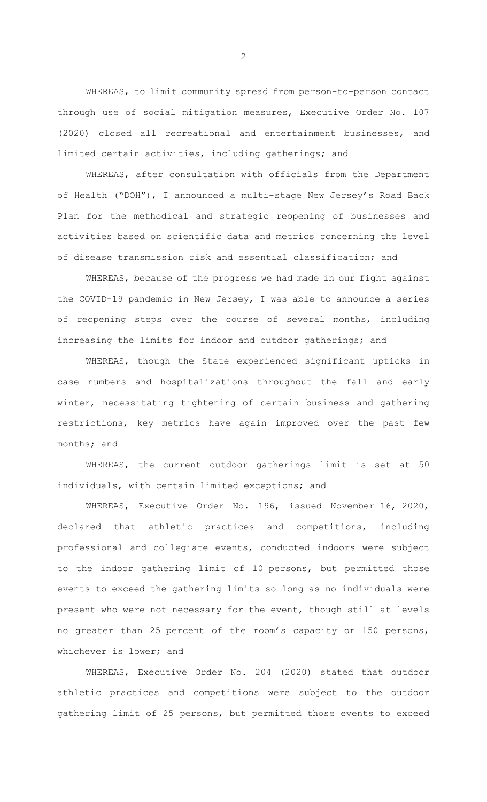WHEREAS, to limit community spread from person-to-person contact through use of social mitigation measures, Executive Order No. 107 (2020) closed all recreational and entertainment businesses, and limited certain activities, including gatherings; and

WHEREAS, after consultation with officials from the Department of Health ("DOH"), I announced a multi-stage New Jersey's Road Back Plan for the methodical and strategic reopening of businesses and activities based on scientific data and metrics concerning the level of disease transmission risk and essential classification; and

WHEREAS, because of the progress we had made in our fight against the COVID-19 pandemic in New Jersey, I was able to announce a series of reopening steps over the course of several months, including increasing the limits for indoor and outdoor gatherings; and

WHEREAS, though the State experienced significant upticks in case numbers and hospitalizations throughout the fall and early winter, necessitating tightening of certain business and gathering restrictions, key metrics have again improved over the past few months; and

WHEREAS, the current outdoor gatherings limit is set at 50 individuals, with certain limited exceptions; and

WHEREAS, Executive Order No. 196, issued November 16, 2020, declared that athletic practices and competitions, including professional and collegiate events, conducted indoors were subject to the indoor gathering limit of 10 persons, but permitted those events to exceed the gathering limits so long as no individuals were present who were not necessary for the event, though still at levels no greater than 25 percent of the room's capacity or 150 persons, whichever is lower; and

WHEREAS, Executive Order No. 204 (2020) stated that outdoor athletic practices and competitions were subject to the outdoor gathering limit of 25 persons, but permitted those events to exceed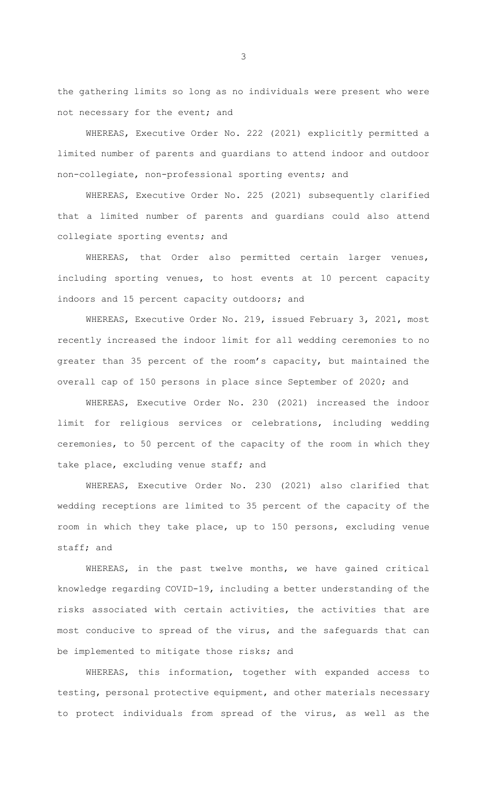the gathering limits so long as no individuals were present who were not necessary for the event; and

WHEREAS, Executive Order No. 222 (2021) explicitly permitted a limited number of parents and guardians to attend indoor and outdoor non-collegiate, non-professional sporting events; and

WHEREAS, Executive Order No. 225 (2021) subsequently clarified that a limited number of parents and guardians could also attend collegiate sporting events; and

WHEREAS, that Order also permitted certain larger venues, including sporting venues, to host events at 10 percent capacity indoors and 15 percent capacity outdoors; and

WHEREAS, Executive Order No. 219, issued February 3, 2021, most recently increased the indoor limit for all wedding ceremonies to no greater than 35 percent of the room's capacity, but maintained the overall cap of 150 persons in place since September of 2020; and

WHEREAS, Executive Order No. 230 (2021) increased the indoor limit for religious services or celebrations, including wedding ceremonies, to 50 percent of the capacity of the room in which they take place, excluding venue staff; and

WHEREAS, Executive Order No. 230 (2021) also clarified that wedding receptions are limited to 35 percent of the capacity of the room in which they take place, up to 150 persons, excluding venue staff; and

WHEREAS, in the past twelve months, we have gained critical knowledge regarding COVID-19, including a better understanding of the risks associated with certain activities, the activities that are most conducive to spread of the virus, and the safeguards that can be implemented to mitigate those risks; and

WHEREAS, this information, together with expanded access to testing, personal protective equipment, and other materials necessary to protect individuals from spread of the virus, as well as the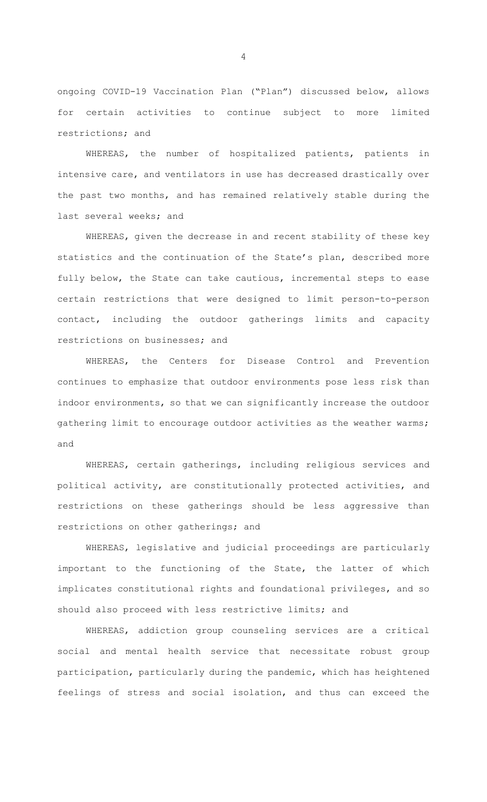ongoing COVID-19 Vaccination Plan ("Plan") discussed below, allows for certain activities to continue subject to more limited restrictions; and

WHEREAS, the number of hospitalized patients, patients in intensive care, and ventilators in use has decreased drastically over the past two months, and has remained relatively stable during the last several weeks; and

WHEREAS, given the decrease in and recent stability of these key statistics and the continuation of the State's plan, described more fully below, the State can take cautious, incremental steps to ease certain restrictions that were designed to limit person-to-person contact, including the outdoor gatherings limits and capacity restrictions on businesses; and

WHEREAS, the Centers for Disease Control and Prevention continues to emphasize that outdoor environments pose less risk than indoor environments, so that we can significantly increase the outdoor gathering limit to encourage outdoor activities as the weather warms; and

WHEREAS, certain gatherings, including religious services and political activity, are constitutionally protected activities, and restrictions on these gatherings should be less aggressive than restrictions on other gatherings; and

WHEREAS, legislative and judicial proceedings are particularly important to the functioning of the State, the latter of which implicates constitutional rights and foundational privileges, and so should also proceed with less restrictive limits; and

WHEREAS, addiction group counseling services are a critical social and mental health service that necessitate robust group participation, particularly during the pandemic, which has heightened feelings of stress and social isolation, and thus can exceed the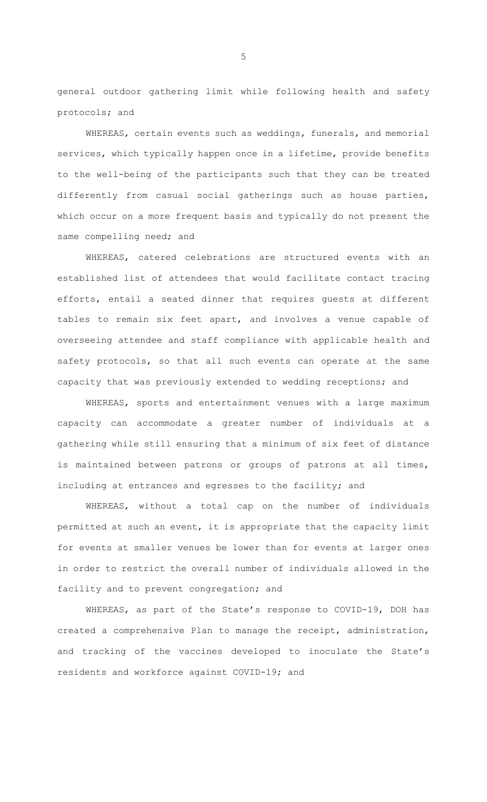general outdoor gathering limit while following health and safety protocols; and

WHEREAS, certain events such as weddings, funerals, and memorial services, which typically happen once in a lifetime, provide benefits to the well-being of the participants such that they can be treated differently from casual social gatherings such as house parties, which occur on a more frequent basis and typically do not present the same compelling need; and

WHEREAS, catered celebrations are structured events with an established list of attendees that would facilitate contact tracing efforts, entail a seated dinner that requires guests at different tables to remain six feet apart, and involves a venue capable of overseeing attendee and staff compliance with applicable health and safety protocols, so that all such events can operate at the same capacity that was previously extended to wedding receptions; and

WHEREAS, sports and entertainment venues with a large maximum capacity can accommodate a greater number of individuals at a gathering while still ensuring that a minimum of six feet of distance is maintained between patrons or groups of patrons at all times, including at entrances and egresses to the facility; and

WHEREAS, without a total cap on the number of individuals permitted at such an event, it is appropriate that the capacity limit for events at smaller venues be lower than for events at larger ones in order to restrict the overall number of individuals allowed in the facility and to prevent congregation; and

WHEREAS, as part of the State's response to COVID-19, DOH has created a comprehensive Plan to manage the receipt, administration, and tracking of the vaccines developed to inoculate the State's residents and workforce against COVID-19; and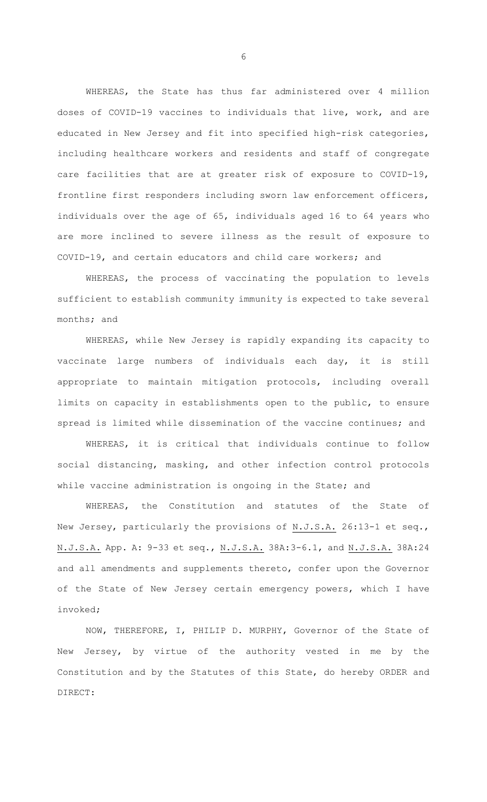WHEREAS, the State has thus far administered over 4 million doses of COVID-19 vaccines to individuals that live, work, and are educated in New Jersey and fit into specified high-risk categories, including healthcare workers and residents and staff of congregate care facilities that are at greater risk of exposure to COVID-19, frontline first responders including sworn law enforcement officers, individuals over the age of 65, individuals aged 16 to 64 years who are more inclined to severe illness as the result of exposure to COVID-19, and certain educators and child care workers; and

WHEREAS, the process of vaccinating the population to levels sufficient to establish community immunity is expected to take several months; and

WHEREAS, while New Jersey is rapidly expanding its capacity to vaccinate large numbers of individuals each day, it is still appropriate to maintain mitigation protocols, including overall limits on capacity in establishments open to the public, to ensure spread is limited while dissemination of the vaccine continues; and

WHEREAS, it is critical that individuals continue to follow social distancing, masking, and other infection control protocols while vaccine administration is ongoing in the State; and

WHEREAS, the Constitution and statutes of the State of New Jersey, particularly the provisions of N.J.S.A. 26:13-1 et seq., N.J.S.A. App. A: 9-33 et seq., N.J.S.A. 38A:3-6.1, and N.J.S.A. 38A:24 and all amendments and supplements thereto, confer upon the Governor of the State of New Jersey certain emergency powers, which I have invoked;

NOW, THEREFORE, I, PHILIP D. MURPHY, Governor of the State of New Jersey, by virtue of the authority vested in me by the Constitution and by the Statutes of this State, do hereby ORDER and DIRECT: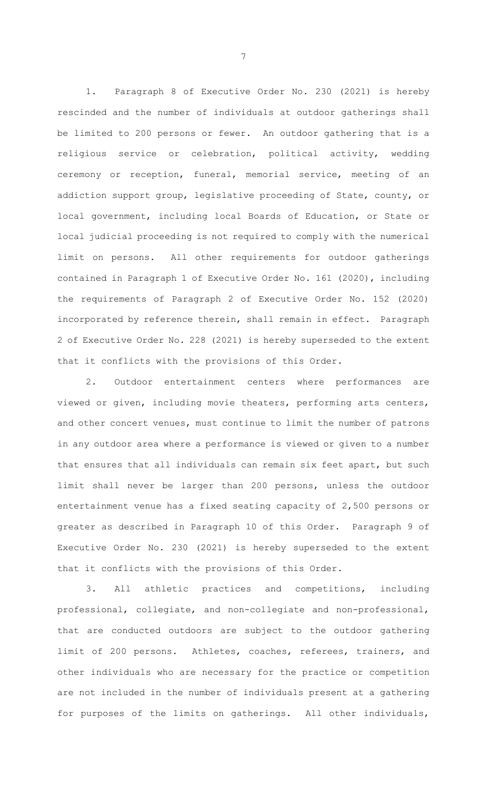1. Paragraph 8 of Executive Order No. 230 (2021) is hereby rescinded and the number of individuals at outdoor gatherings shall be limited to 200 persons or fewer. An outdoor gathering that is a religious service or celebration, political activity, wedding ceremony or reception, funeral, memorial service, meeting of an addiction support group, legislative proceeding of State, county, or local government, including local Boards of Education, or State or local judicial proceeding is not required to comply with the numerical limit on persons. All other requirements for outdoor gatherings contained in Paragraph 1 of Executive Order No. 161 (2020), including the requirements of Paragraph 2 of Executive Order No. 152 (2020) incorporated by reference therein, shall remain in effect. Paragraph 2 of Executive Order No. 228 (2021) is hereby superseded to the extent that it conflicts with the provisions of this Order.

2. Outdoor entertainment centers where performances are viewed or given, including movie theaters, performing arts centers, and other concert venues, must continue to limit the number of patrons in any outdoor area where a performance is viewed or given to a number that ensures that all individuals can remain six feet apart, but such limit shall never be larger than 200 persons, unless the outdoor entertainment venue has a fixed seating capacity of 2,500 persons or greater as described in Paragraph 10 of this Order. Paragraph 9 of Executive Order No. 230 (2021) is hereby superseded to the extent that it conflicts with the provisions of this Order.

3. All athletic practices and competitions, including professional, collegiate, and non-collegiate and non-professional, that are conducted outdoors are subject to the outdoor gathering limit of 200 persons. Athletes, coaches, referees, trainers, and other individuals who are necessary for the practice or competition are not included in the number of individuals present at a gathering for purposes of the limits on gatherings. All other individuals,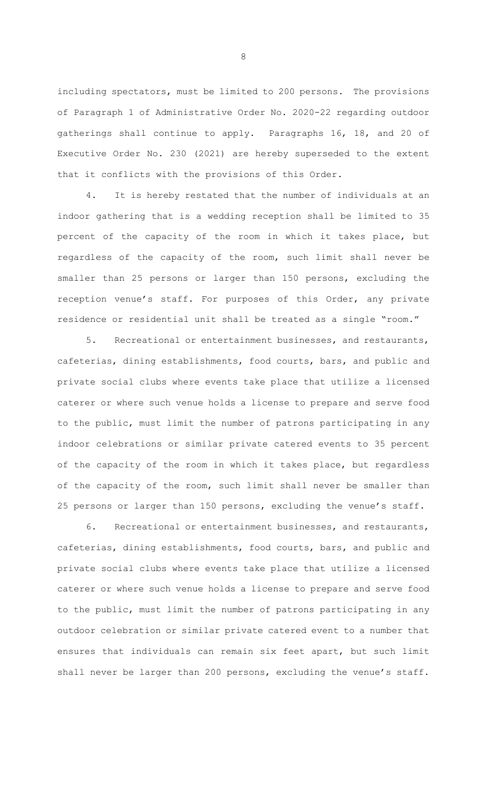including spectators, must be limited to 200 persons. The provisions of Paragraph 1 of Administrative Order No. 2020-22 regarding outdoor gatherings shall continue to apply. Paragraphs 16, 18, and 20 of Executive Order No. 230 (2021) are hereby superseded to the extent that it conflicts with the provisions of this Order.

4. It is hereby restated that the number of individuals at an indoor gathering that is a wedding reception shall be limited to 35 percent of the capacity of the room in which it takes place, but regardless of the capacity of the room, such limit shall never be smaller than 25 persons or larger than 150 persons, excluding the reception venue's staff. For purposes of this Order, any private residence or residential unit shall be treated as a single "room."

5. Recreational or entertainment businesses, and restaurants, cafeterias, dining establishments, food courts, bars, and public and private social clubs where events take place that utilize a licensed caterer or where such venue holds a license to prepare and serve food to the public, must limit the number of patrons participating in any indoor celebrations or similar private catered events to 35 percent of the capacity of the room in which it takes place, but regardless of the capacity of the room, such limit shall never be smaller than 25 persons or larger than 150 persons, excluding the venue's staff.

6. Recreational or entertainment businesses, and restaurants, cafeterias, dining establishments, food courts, bars, and public and private social clubs where events take place that utilize a licensed caterer or where such venue holds a license to prepare and serve food to the public, must limit the number of patrons participating in any outdoor celebration or similar private catered event to a number that ensures that individuals can remain six feet apart, but such limit shall never be larger than 200 persons, excluding the venue's staff.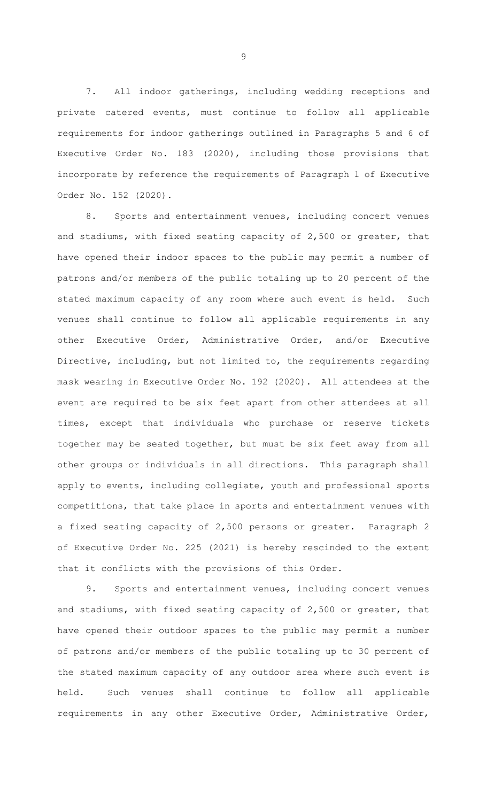7. All indoor gatherings, including wedding receptions and private catered events, must continue to follow all applicable requirements for indoor gatherings outlined in Paragraphs 5 and 6 of Executive Order No. 183 (2020), including those provisions that incorporate by reference the requirements of Paragraph 1 of Executive Order No. 152 (2020).

8. Sports and entertainment venues, including concert venues and stadiums, with fixed seating capacity of 2,500 or greater, that have opened their indoor spaces to the public may permit a number of patrons and/or members of the public totaling up to 20 percent of the stated maximum capacity of any room where such event is held. Such venues shall continue to follow all applicable requirements in any other Executive Order, Administrative Order, and/or Executive Directive, including, but not limited to, the requirements regarding mask wearing in Executive Order No. 192 (2020). All attendees at the event are required to be six feet apart from other attendees at all times, except that individuals who purchase or reserve tickets together may be seated together, but must be six feet away from all other groups or individuals in all directions. This paragraph shall apply to events, including collegiate, youth and professional sports competitions, that take place in sports and entertainment venues with a fixed seating capacity of 2,500 persons or greater. Paragraph 2 of Executive Order No. 225 (2021) is hereby rescinded to the extent that it conflicts with the provisions of this Order.

9. Sports and entertainment venues, including concert venues and stadiums, with fixed seating capacity of 2,500 or greater, that have opened their outdoor spaces to the public may permit a number of patrons and/or members of the public totaling up to 30 percent of the stated maximum capacity of any outdoor area where such event is held. Such venues shall continue to follow all applicable requirements in any other Executive Order, Administrative Order,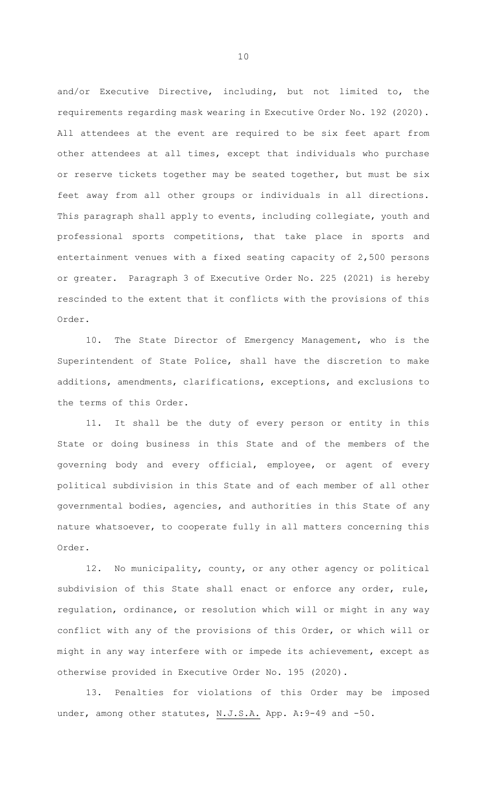and/or Executive Directive, including, but not limited to, the requirements regarding mask wearing in Executive Order No. 192 (2020). All attendees at the event are required to be six feet apart from other attendees at all times, except that individuals who purchase or reserve tickets together may be seated together, but must be six feet away from all other groups or individuals in all directions. This paragraph shall apply to events, including collegiate, youth and professional sports competitions, that take place in sports and entertainment venues with a fixed seating capacity of 2,500 persons or greater. Paragraph 3 of Executive Order No. 225 (2021) is hereby rescinded to the extent that it conflicts with the provisions of this Order.

10. The State Director of Emergency Management, who is the Superintendent of State Police, shall have the discretion to make additions, amendments, clarifications, exceptions, and exclusions to the terms of this Order.

11. It shall be the duty of every person or entity in this State or doing business in this State and of the members of the governing body and every official, employee, or agent of every political subdivision in this State and of each member of all other governmental bodies, agencies, and authorities in this State of any nature whatsoever, to cooperate fully in all matters concerning this Order.

12. No municipality, county, or any other agency or political subdivision of this State shall enact or enforce any order, rule, regulation, ordinance, or resolution which will or might in any way conflict with any of the provisions of this Order, or which will or might in any way interfere with or impede its achievement, except as otherwise provided in Executive Order No. 195 (2020).

13. Penalties for violations of this Order may be imposed under, among other statutes, N.J.S.A. App. A: 9-49 and -50.